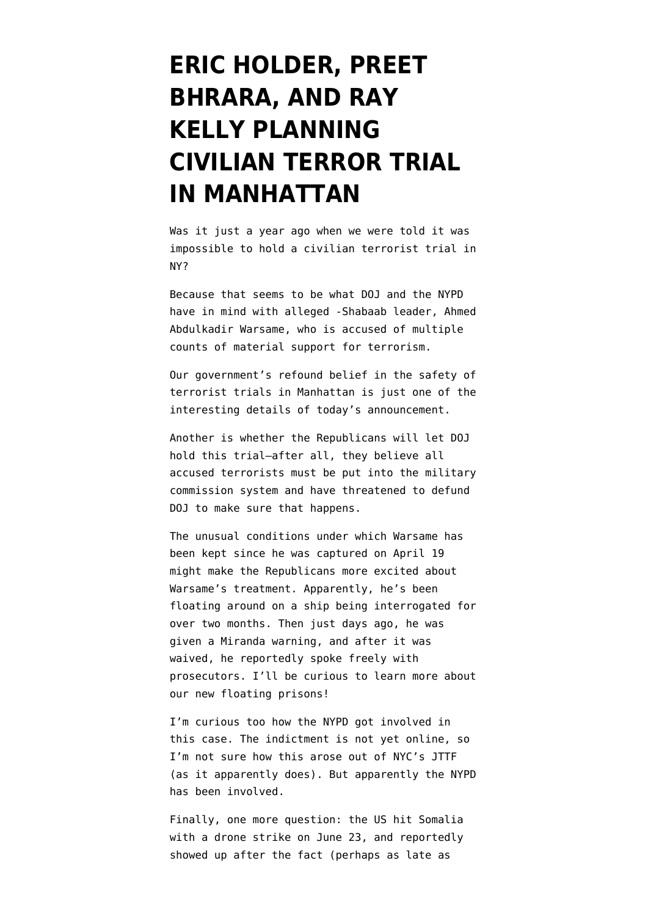## **[ERIC HOLDER, PREET](https://www.emptywheel.net/2011/07/05/eric-holder-preet-bhrara-and-ray-kelly-planning-civilian-trial-in-manahattan/) [BHRARA, AND RAY](https://www.emptywheel.net/2011/07/05/eric-holder-preet-bhrara-and-ray-kelly-planning-civilian-trial-in-manahattan/) [KELLY PLANNING](https://www.emptywheel.net/2011/07/05/eric-holder-preet-bhrara-and-ray-kelly-planning-civilian-trial-in-manahattan/) [CIVILIAN TERROR TRIAL](https://www.emptywheel.net/2011/07/05/eric-holder-preet-bhrara-and-ray-kelly-planning-civilian-trial-in-manahattan/) [IN MANHATTAN](https://www.emptywheel.net/2011/07/05/eric-holder-preet-bhrara-and-ray-kelly-planning-civilian-trial-in-manahattan/)**

Was it just a year ago when we were told it was impossible to hold a civilian terrorist trial in NY?

Because that seems to be what DOJ and the NYPD have in mind with alleged -Shabaab leader, Ahmed Abdulkadir Warsame, who is accused of multiple counts of material support for terrorism.

Our government's refound belief in the safety of terrorist trials in Manhattan is just one of the interesting details of today's [announcement](http://www.justice.gov/usao/nys/pressreleases/July11/warsameindictmentpr.pdf).

Another is whether the Republicans will let DOJ hold this trial–after all, they believe all accused terrorists must be put into the military commission system and have threatened to defund DOJ to make sure that happens.

The unusual conditions under which Warsame has been kept since he was captured on April 19 might make the Republicans more excited about Warsame's treatment. Apparently, he's been floating around on a ship being interrogated for over two months. Then just days ago, he was [given](http://www.dailyjournal.net/view/story/2e6f21dc7d59407fa8e57be02790b5a9/US--Terror-Trial/) a Miranda warning, and after it was waived, he reportedly spoke freely with prosecutors. I'll be curious to learn more about our new floating prisons!

I'm curious too how the NYPD got involved in this case. The indictment is not yet online, so I'm not sure how this arose out of NYC's JTTF (as it apparently does). But apparently the NYPD has been involved.

Finally, one more question: the US hit Somalia with a drone strike on June 23, and reportedly showed up after the fact (perhaps as late as